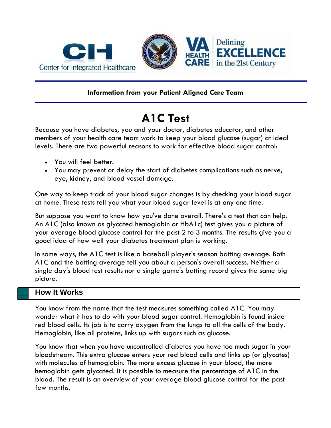

## **Information from your Patient Aligned Care Team**

# **A1C Test**

Because you have diabetes, you and your doctor, diabetes educator, and other members of your health care team work to keep your blood glucose (sugar) at ideal levels. There are two powerful reasons to work for effective blood sugar control:

- You will feel better.
- You may prevent or delay the start of diabetes complications such as nerve, eye, kidney, and blood vessel damage.

One way to keep track of your blood sugar changes is by checking your blood sugar at home. These tests tell you what your blood sugar level is at any one time.

But suppose you want to know how you've done overall. There's a test that can help. An A1C (also known as glycated hemoglobin or HbA1c) test gives you a picture of your average blood glucose control for the past 2 to 3 months. The results give you a good idea of how well your diabetes treatment plan is working.

In some ways, the A1C test is like a baseball player's season batting average. Both A1C and the batting average tell you about a person's overall success. Neither a single day's blood test results nor a single game's batting record gives the same big picture.

## **How It Works**

You know from the name that the test measures something called A1C. You may wonder what it has to do with your blood sugar control. Hemoglobin is found inside red blood cells. Its job is to carry oxygen from the lungs to all the cells of the body. Hemoglobin, like all proteins, links up with sugars such as glucose.

You know that when you have uncontrolled diabetes you have too much sugar in your bloodstream. This extra glucose enters your red blood cells and links up (or glycates) with molecules of hemoglobin. The more excess glucose in your blood, the more hemoglobin gets glycated. It is possible to measure the percentage of A1C in the blood. The result is an overview of your average blood glucose control for the past few months.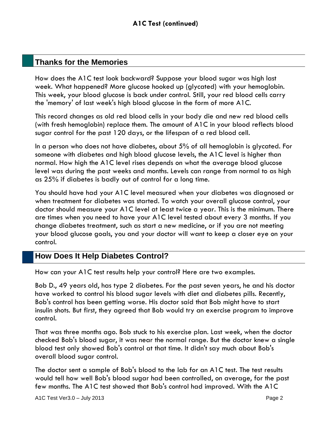## **Thanks for the Memories**

How does the A1C test look backward? Suppose your blood sugar was high last week. What happened? More glucose hooked up (glycated) with your hemoglobin. This week, your blood glucose is back under control. Still, your red blood cells carry the 'memory' of last week's high blood glucose in the form of more A1C.

This record changes as old red blood cells in your body die and new red blood cells (with fresh hemoglobin) replace them. The amount of A1C in your blood reflects blood sugar control for the past 120 days, or the lifespan of a red blood cell.

In a person who does not have diabetes, about 5% of all hemoglobin is glycated. For someone with diabetes and high blood glucose levels, the A1C level is higher than normal. How high the A1C level rises depends on what the average blood glucose level was during the past weeks and months. Levels can range from normal to as high as 25% if diabetes is badly out of control for a long time.

You should have had your A1C level measured when your diabetes was diagnosed or when treatment for diabetes was started. To watch your overall glucose control, your doctor should measure your A1C level at least twice a year. This is the minimum. There are times when you need to have your A1C level tested about every 3 months. If you change diabetes treatment, such as start a new medicine, or if you are not meeting your blood glucose goals, you and your doctor will want to keep a closer eye on your control.

## **How Does It Help Diabetes Control?**

How can your A1C test results help your control? Here are two examples.

Bob D., 49 years old, has type 2 diabetes. For the past seven years, he and his doctor have worked to control his blood sugar levels with diet and diabetes pills. Recently, Bob's control has been getting worse. His doctor said that Bob might have to start insulin shots. But first, they agreed that Bob would try an exercise program to improve control.

That was three months ago. Bob stuck to his exercise plan. Last week, when the doctor checked Bob's blood sugar, it was near the normal range. But the doctor knew a single blood test only showed Bob's control at that time. It didn't say much about Bob's overall blood sugar control.

The doctor sent a sample of Bob's blood to the lab for an A1C test. The test results would tell how well Bob's blood sugar had been controlled, on average, for the past few months. The A1C test showed that Bob's control had improved. With the A1C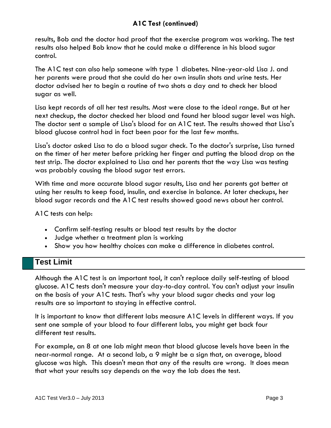### **A1C Test (continued)**

results, Bob and the doctor had proof that the exercise program was working. The test results also helped Bob know that he could make a difference in his blood sugar control.

The A1C test can also help someone with type 1 diabetes. Nine-year-old Lisa J. and her parents were proud that she could do her own insulin shots and urine tests. Her doctor advised her to begin a routine of two shots a day and to check her blood sugar as well.

Lisa kept records of all her test results. Most were close to the ideal range. But at her next checkup, the doctor checked her blood and found her blood sugar level was high. The doctor sent a sample of Lisa's blood for an A1C test. The results showed that Lisa's blood glucose control had in fact been poor for the last few months.

Lisa's doctor asked Lisa to do a blood sugar check. To the doctor's surprise, Lisa turned on the timer of her meter before pricking her finger and putting the blood drop on the test strip. The doctor explained to Lisa and her parents that the way Lisa was testing was probably causing the blood sugar test errors.

With time and more accurate blood sugar results, Lisa and her parents got better at using her results to keep food, insulin, and exercise in balance. At later checkups, her blood sugar records and the A1C test results showed good news about her control.

A1C tests can help:

- Confirm self-testing results or blood test results by the doctor
- Judge whether a treatment plan is working
- Show you how healthy choices can make a difference in diabetes control.

### **Test Limit**

Although the A1C test is an important tool, it can't replace daily self-testing of blood glucose. A1C tests don't measure your day-to-day control. You can't adjust your insulin on the basis of your A1C tests. That's why your blood sugar checks and your log results are so important to staying in effective control.

It is important to know that different labs measure A1C levels in different ways. If you sent one sample of your blood to four different labs, you might get back four different test results.

For example, an 8 at one lab might mean that blood glucose levels have been in the near-normal range. At a second lab, a 9 might be a sign that, on average, blood glucose was high. This doesn't mean that any of the results are wrong. It does mean that what your results say depends on the way the lab does the test.